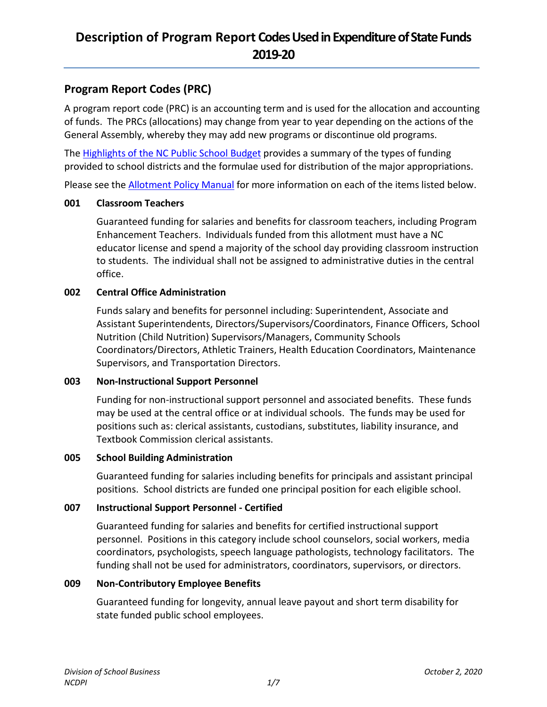## **Program Report Codes (PRC)**

A program report code (PRC) is an accounting term and is used for the allocation and accounting of funds. The PRCs (allocations) may change from year to year depending on the actions of the General Assembly, whereby they may add new programs or discontinue old programs.

Th[e Highlights of the NC Public School Budget](https://www.dpi.nc.gov/districts-schools/district-operations/financial-and-business-services/demographics-and-finances/student-enrollment-school-personnel-and-reports#highlights-of-the-nc-public-school-budget) provides a summary of the types of funding provided to school districts and the formulae used for distribution of the major appropriations.

Please see the **Allotment Policy Manual** for more information on each of the items listed below.

### **001 Classroom Teachers**

Guaranteed funding for salaries and benefits for classroom teachers, including Program Enhancement Teachers. Individuals funded from this allotment must have a NC educator license and spend a majority of the school day providing classroom instruction to students. The individual shall not be assigned to administrative duties in the central office.

## **002 Central Office Administration**

Funds salary and benefits for personnel including: Superintendent, Associate and Assistant Superintendents, Directors/Supervisors/Coordinators, Finance Officers, School Nutrition (Child Nutrition) Supervisors/Managers, Community Schools Coordinators/Directors, Athletic Trainers, Health Education Coordinators, Maintenance Supervisors, and Transportation Directors.

### **003 Non-Instructional Support Personnel**

Funding for non-instructional support personnel and associated benefits. These funds may be used at the central office or at individual schools. The funds may be used for positions such as: clerical assistants, custodians, substitutes, liability insurance, and Textbook Commission clerical assistants.

### **005 School Building Administration**

Guaranteed funding for salaries including benefits for principals and assistant principal positions. School districts are funded one principal position for each eligible school.

## **007 Instructional Support Personnel - Certified**

Guaranteed funding for salaries and benefits for certified instructional support personnel. Positions in this category include school counselors, social workers, media coordinators, psychologists, speech language pathologists, technology facilitators. The funding shall not be used for administrators, coordinators, supervisors, or directors.

### **009 Non-Contributory Employee Benefits**

Guaranteed funding for longevity, annual leave payout and short term disability for state funded public school employees.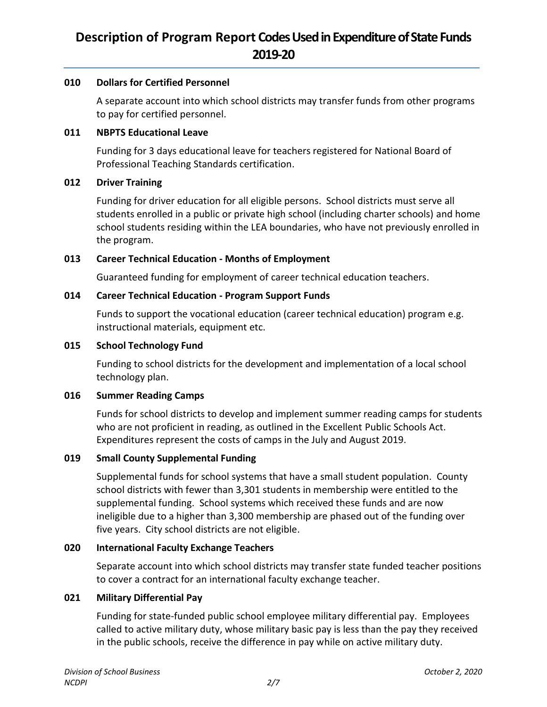#### **010 Dollars for Certified Personnel**

A separate account into which school districts may transfer funds from other programs to pay for certified personnel.

## **011 NBPTS Educational Leave**

Funding for 3 days educational leave for teachers registered for National Board of Professional Teaching Standards certification.

#### **012 Driver Training**

Funding for driver education for all eligible persons. School districts must serve all students enrolled in a public or private high school (including charter schools) and home school students residing within the LEA boundaries, who have not previously enrolled in the program.

### **013 Career Technical Education - Months of Employment**

Guaranteed funding for employment of career technical education teachers.

#### **014 Career Technical Education - Program Support Funds**

Funds to support the vocational education (career technical education) program e.g. instructional materials, equipment etc.

#### **015 School Technology Fund**

Funding to school districts for the development and implementation of a local school technology plan.

#### **016 Summer Reading Camps**

Funds for school districts to develop and implement summer reading camps for students who are not proficient in reading, as outlined in the Excellent Public Schools Act. Expenditures represent the costs of camps in the July and August 2019.

### **019 Small County Supplemental Funding**

Supplemental funds for school systems that have a small student population. County school districts with fewer than 3,301 students in membership were entitled to the supplemental funding. School systems which received these funds and are now ineligible due to a higher than 3,300 membership are phased out of the funding over five years. City school districts are not eligible.

#### **020 International Faculty Exchange Teachers**

Separate account into which school districts may transfer state funded teacher positions to cover a contract for an international faculty exchange teacher.

#### **021 Military Differential Pay**

Funding for state-funded public school employee military differential pay. Employees called to active military duty, whose military basic pay is less than the pay they received in the public schools, receive the difference in pay while on active military duty.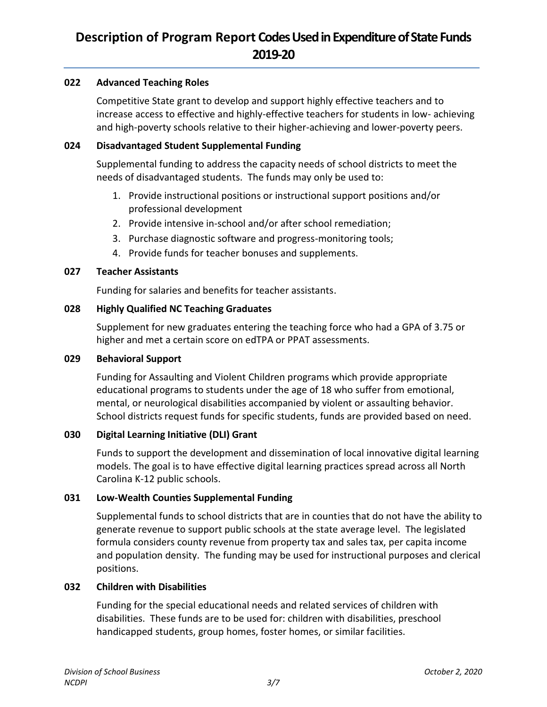### **022 Advanced Teaching Roles**

Competitive State grant to develop and support highly effective teachers and to increase access to effective and highly-effective teachers for students in low- achieving and high-poverty schools relative to their higher-achieving and lower-poverty peers.

#### **024 Disadvantaged Student Supplemental Funding**

Supplemental funding to address the capacity needs of school districts to meet the needs of disadvantaged students. The funds may only be used to:

- 1. Provide instructional positions or instructional support positions and/or professional development
- 2. Provide intensive in-school and/or after school remediation;
- 3. Purchase diagnostic software and progress-monitoring tools;
- 4. Provide funds for teacher bonuses and supplements.

#### **027 Teacher Assistants**

Funding for salaries and benefits for teacher assistants.

#### **028 Highly Qualified NC Teaching Graduates**

Supplement for new graduates entering the teaching force who had a GPA of 3.75 or higher and met a certain score on edTPA or PPAT assessments.

#### **029 Behavioral Support**

Funding for Assaulting and Violent Children programs which provide appropriate educational programs to students under the age of 18 who suffer from emotional, mental, or neurological disabilities accompanied by violent or assaulting behavior. School districts request funds for specific students, funds are provided based on need.

### **030 Digital Learning Initiative (DLI) Grant**

Funds to support the development and dissemination of local innovative digital learning models. The goal is to have effective digital learning practices spread across all North Carolina K-12 public schools.

### **031 Low-Wealth Counties Supplemental Funding**

Supplemental funds to school districts that are in counties that do not have the ability to generate revenue to support public schools at the state average level. The legislated formula considers county revenue from property tax and sales tax, per capita income and population density. The funding may be used for instructional purposes and clerical positions.

#### **032 Children with Disabilities**

Funding for the special educational needs and related services of children with disabilities. These funds are to be used for: children with disabilities, preschool handicapped students, group homes, foster homes, or similar facilities.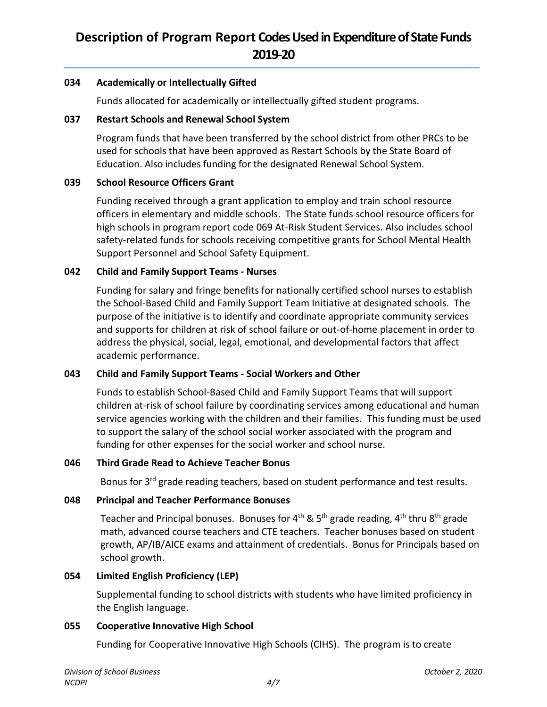#### **034 Academically or Intellectually Gifted**

Funds allocated for academically or intellectually gifted student programs.

#### **037 Restart Schools and Renewal School System**

Program funds that have been transferred by the school district from other PRCs to be used for schools that have been approved as Restart Schools by the State Board of Education. Also includes funding for the designated Renewal School System.

### **039 School Resource Officers Grant**

Funding received through a grant application to employ and train school resource officers in elementary and middle schools. The State funds school resource officers for high schools in program report code 069 At-Risk Student Services. Also includes school safety-related funds for schools receiving competitive grants for School Mental Health Support Personnel and School Safety Equipment.

### **042 Child and Family Support Teams - Nurses**

Funding for salary and fringe benefits for nationally certified school nurses to establish the School-Based Child and Family Support Team Initiative at designated schools. The purpose of the initiative is to identify and coordinate appropriate community services and supports for children at risk of school failure or out-of-home placement in order to address the physical, social, legal, emotional, and developmental factors that affect academic performance.

### **043 Child and Family Support Teams - Social Workers and Other**

Funds to establish School-Based Child and Family Support Teams that will support children at-risk of school failure by coordinating services among educational and human service agencies working with the children and their families. This funding must be used to support the salary of the school social worker associated with the program and funding for other expenses for the social worker and school nurse.

## **046 Third Grade Read to Achieve Teacher Bonus**

Bonus for 3<sup>rd</sup> grade reading teachers, based on student performance and test results.

### **048 Principal and Teacher Performance Bonuses**

Teacher and Principal bonuses. Bonuses for  $4^{th}$  & 5<sup>th</sup> grade reading,  $4^{th}$  thru  $8^{th}$  grade math, advanced course teachers and CTE teachers. Teacher bonuses based on student growth, AP/IB/AICE exams and attainment of credentials. Bonus for Principals based on school growth.

### **054 Limited English Proficiency (LEP)**

Supplemental funding to school districts with students who have limited proficiency in the English language.

#### **055 Cooperative Innovative High School**

Funding for Cooperative Innovative High Schools (CIHS). The program is to create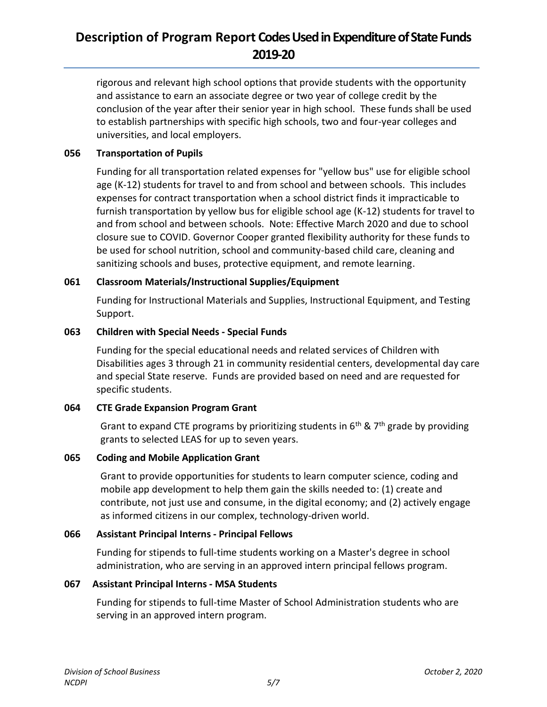rigorous and relevant high school options that provide students with the opportunity and assistance to earn an associate degree or two year of college credit by the conclusion of the year after their senior year in high school. These funds shall be used to establish partnerships with specific high schools, two and four-year colleges and universities, and local employers.

### **056 Transportation of Pupils**

Funding for all transportation related expenses for "yellow bus" use for eligible school age (K-12) students for travel to and from school and between schools. This includes expenses for contract transportation when a school district finds it impracticable to furnish transportation by yellow bus for eligible school age (K-12) students for travel to and from school and between schools. Note: Effective March 2020 and due to school closure sue to COVID. Governor Cooper granted flexibility authority for these funds to be used for school nutrition, school and community-based child care, cleaning and sanitizing schools and buses, protective equipment, and remote learning.

### **061 Classroom Materials/Instructional Supplies/Equipment**

Funding for Instructional Materials and Supplies, Instructional Equipment, and Testing Support.

### **063 Children with Special Needs - Special Funds**

Funding for the special educational needs and related services of Children with Disabilities ages 3 through 21 in community residential centers, developmental day care and special State reserve. Funds are provided based on need and are requested for specific students.

### **064 CTE Grade Expansion Program Grant**

Grant to expand CTE programs by prioritizing students in  $6<sup>th</sup>$  & 7<sup>th</sup> grade by providing grants to selected LEAS for up to seven years.

#### **065 Coding and Mobile Application Grant**

Grant to provide opportunities for students to learn computer science, coding and mobile app development to help them gain the skills needed to: (1) create and contribute, not just use and consume, in the digital economy; and (2) actively engage as informed citizens in our complex, technology-driven world.

### **066 Assistant Principal Interns - Principal Fellows**

Funding for stipends to full-time students working on a Master's degree in school administration, who are serving in an approved intern principal fellows program.

#### **067 Assistant Principal Interns - MSA Students**

Funding for stipends to full-time Master of School Administration students who are serving in an approved intern program.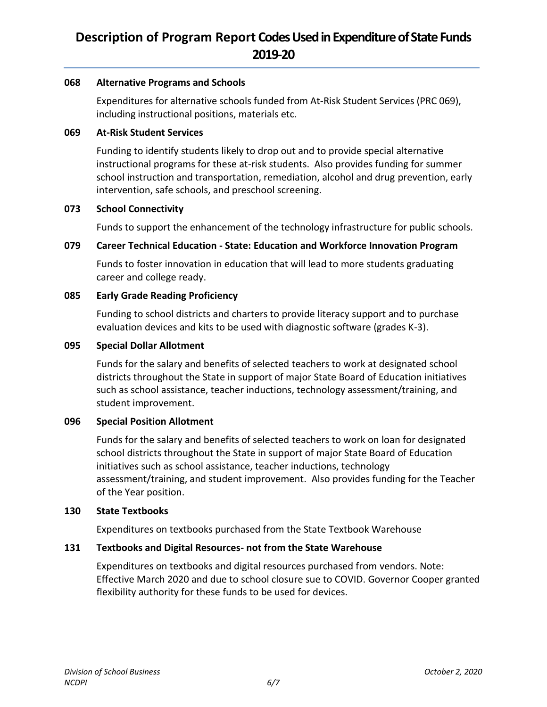#### **068 Alternative Programs and Schools**

Expenditures for alternative schools funded from At-Risk Student Services (PRC 069), including instructional positions, materials etc.

#### **069 At-Risk Student Services**

Funding to identify students likely to drop out and to provide special alternative instructional programs for these at-risk students. Also provides funding for summer school instruction and transportation, remediation, alcohol and drug prevention, early intervention, safe schools, and preschool screening.

#### **073 School Connectivity**

Funds to support the enhancement of the technology infrastructure for public schools.

### **079 Career Technical Education - State: Education and Workforce Innovation Program**

Funds to foster innovation in education that will lead to more students graduating career and college ready.

#### **085 Early Grade Reading Proficiency**

Funding to school districts and charters to provide literacy support and to purchase evaluation devices and kits to be used with diagnostic software (grades K-3).

#### **095 Special Dollar Allotment**

Funds for the salary and benefits of selected teachers to work at designated school districts throughout the State in support of major State Board of Education initiatives such as school assistance, teacher inductions, technology assessment/training, and student improvement.

### **096 Special Position Allotment**

Funds for the salary and benefits of selected teachers to work on loan for designated school districts throughout the State in support of major State Board of Education initiatives such as school assistance, teacher inductions, technology assessment/training, and student improvement. Also provides funding for the Teacher of the Year position.

#### **130 State Textbooks**

Expenditures on textbooks purchased from the State Textbook Warehouse

### **131 Textbooks and Digital Resources- not from the State Warehouse**

Expenditures on textbooks and digital resources purchased from vendors. Note: Effective March 2020 and due to school closure sue to COVID. Governor Cooper granted flexibility authority for these funds to be used for devices.